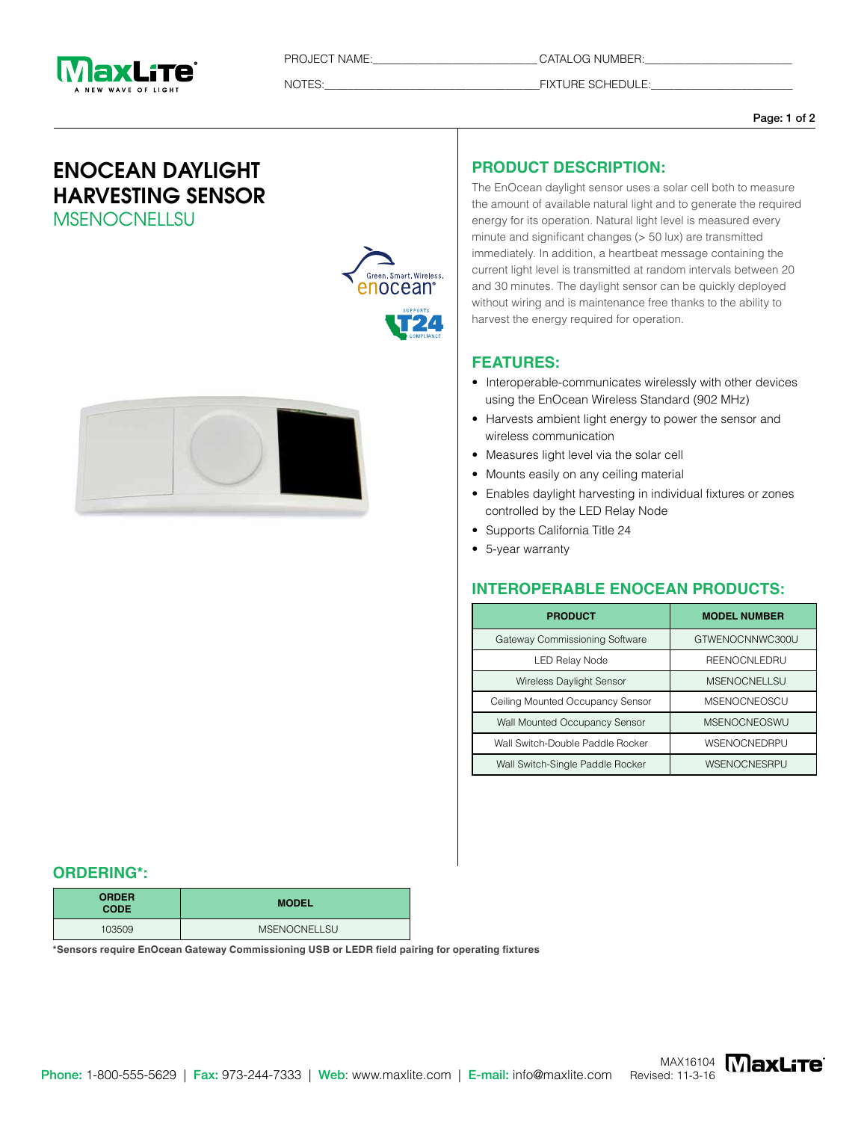

PROJECT NAME:\_\_\_\_\_\_\_\_\_\_\_\_\_\_\_\_\_\_\_\_\_\_\_\_\_\_\_\_\_ CATALOG NUMBER:\_\_\_\_\_\_\_\_\_\_\_\_\_\_\_\_\_\_\_\_\_\_\_\_\_\_

NOTES:\_\_\_\_\_\_\_\_\_\_\_\_\_\_\_\_\_\_\_\_\_\_\_\_\_\_\_\_\_\_\_\_\_\_\_\_\_\_FIXTURE SCHEDULE:\_\_\_\_\_\_\_\_\_\_\_\_\_\_\_\_\_\_\_\_\_\_\_\_\_

#### Page: 1 of 2

# ENOCEAN DAYLIGHT HARVESTING SENSOR **MSENOCNELLSU**



## **PRODUCT DESCRIPTION:**

The EnOcean daylight sensor uses a solar cell both to measure the amount of available natural light and to generate the required energy for its operation. Natural light level is measured every minute and significant changes (> 50 lux) are transmitted immediately. In addition, a heartbeat message containing the current light level is transmitted at random intervals between 20 and 30 minutes. The daylight sensor can be quickly deployed without wiring and is maintenance free thanks to the ability to harvest the energy required for operation.

#### **FEATURES:**

- Interoperable-communicates wirelessly with other devices using the EnOcean Wireless Standard (902 MHz)
- Harvests ambient light energy to power the sensor and wireless communication
- Measures light level via the solar cell
- Mounts easily on any ceiling material
- Enables daylight harvesting in individual fixtures or zones controlled by the LED Relay Node
- Supports California Title 24
- 5-year warranty

### **INTEROPERABLE ENOCEAN PRODUCTS:**

| <b>PRODUCT</b>                   | <b>MODEL NUMBER</b> |
|----------------------------------|---------------------|
| Gateway Commissioning Software   | GTWENOCNNWC300U     |
| <b>LED Relay Node</b>            | <b>REENOCNLEDRU</b> |
| <b>Wireless Daylight Sensor</b>  | MSENOCNELLSU        |
| Ceiling Mounted Occupancy Sensor | <b>MSENOCNEOSCU</b> |
| Wall Mounted Occupancy Sensor    | <b>MSENOCNEOSWU</b> |
| Wall Switch-Double Paddle Rocker | WSENOCNEDRPU        |
| Wall Switch-Single Paddle Rocker | WSENOCNESRPU        |

#### **ORDERING\*:**

| <b>ORDER</b><br><b>CODE</b> | <b>MODEL</b>        |
|-----------------------------|---------------------|
| 103509                      | <b>MSENOCNELLSU</b> |

**\*Sensors require EnOcean Gateway Commissioning USB or LEDR field pairing for operating fixtures**